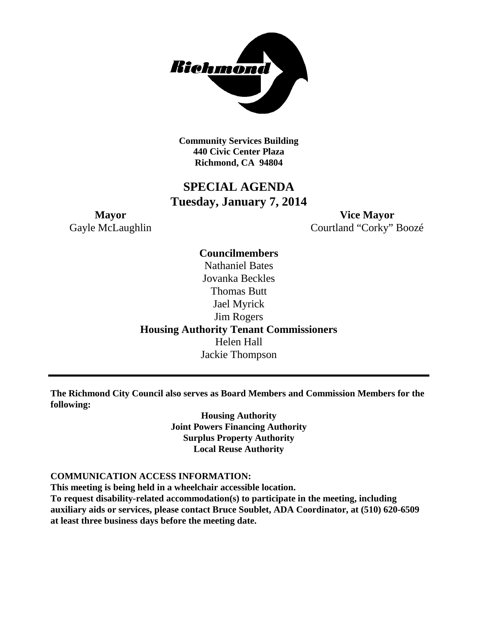

**Community Services Building 440 Civic Center Plaza Richmond, CA 94804**

## **SPECIAL AGENDA Tuesday, January 7, 2014**

**Mayor Vice Mayor** Gayle McLaughlin Courtland "Corky" Boozé

> **Councilmembers** Nathaniel Bates Jovanka Beckles Thomas Butt Jael Myrick Jim Rogers **Housing Authority Tenant Commissioners** Helen Hall Jackie Thompson

**The Richmond City Council also serves as Board Members and Commission Members for the following:**

> **Housing Authority Joint Powers Financing Authority Surplus Property Authority Local Reuse Authority**

### **COMMUNICATION ACCESS INFORMATION:**

**This meeting is being held in a wheelchair accessible location. To request disability-related accommodation(s) to participate in the meeting, including auxiliary aids or services, please contact Bruce Soublet, ADA Coordinator, at (510) 620-6509 at least three business days before the meeting date.**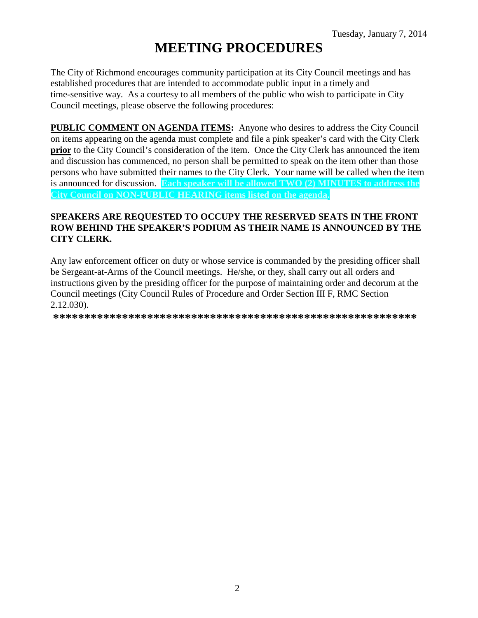# **MEETING PROCEDURES**

The City of Richmond encourages community participation at its City Council meetings and has established procedures that are intended to accommodate public input in a timely and time-sensitive way. As a courtesy to all members of the public who wish to participate in City Council meetings, please observe the following procedures:

**PUBLIC COMMENT ON AGENDA ITEMS:** Anyone who desires to address the City Council on items appearing on the agenda must complete and file a pink speaker's card with the City Clerk **prior** to the City Council's consideration of the item. Once the City Clerk has announced the item and discussion has commenced, no person shall be permitted to speak on the item other than those persons who have submitted their names to the City Clerk. Your name will be called when the item is announced for discussion. **Each speaker will be allowed TWO (2) MINUTES to address the City Council on NON-PUBLIC HEARING items listed on the agenda.**

### **SPEAKERS ARE REQUESTED TO OCCUPY THE RESERVED SEATS IN THE FRONT ROW BEHIND THE SPEAKER'S PODIUM AS THEIR NAME IS ANNOUNCED BY THE CITY CLERK.**

Any law enforcement officer on duty or whose service is commanded by the presiding officer shall be Sergeant-at-Arms of the Council meetings. He/she, or they, shall carry out all orders and instructions given by the presiding officer for the purpose of maintaining order and decorum at the Council meetings (City Council Rules of Procedure and Order Section III F, RMC Section 2.12.030).

**\*\*\*\*\*\*\*\*\*\*\*\*\*\*\*\*\*\*\*\*\*\*\*\*\*\*\*\*\*\*\*\*\*\*\*\*\*\*\*\*\*\*\*\*\*\*\*\*\*\*\*\*\*\*\*\*\*\***